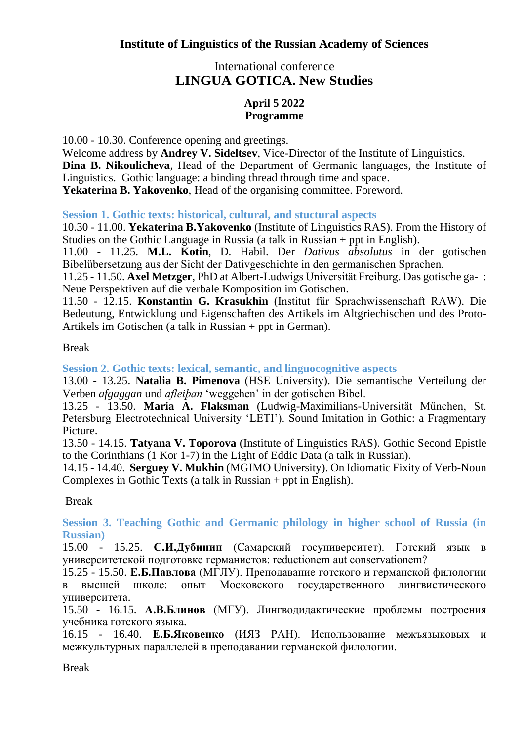## International conference **LINGUA GOTICA. New Studies**

## **April 5 2022 Programme**

10.00 - 10.30. Conference opening and greetings.

Welcome address by **Andrey V. Sideltsev**, Vice-Director of the Institute of Linguistics. **Dina B. Nikoulicheva**, Head of the Department of Germanic languages, the Institute of Linguistics. Gothic language: a binding thread through time and space. **Yekaterina B. Yakovenko**, Head of the organising committee. Foreword.

**Session 1. Gothic texts: historical, cultural, and stuctural aspects**

10.30 - 11.00. **Yekaterina B.Yakovenko** (Institute of Linguistics RAS). From the History of Studies on the Gothic Language in Russia (a talk in Russian + ppt in English).

11.00 - 11.25. **M.L. Kotin**, D. Habil. Der *Dativus absolutus* in der gotischen Bibelübersetzung aus der Sicht der Dativgeschichte in den germanischen Sprachen.

11.25 - 11.50. **Axel Metzger**, PhD at Albert-Ludwigs Universität Freiburg. Das gotische ga- : Neue Perspektiven auf die verbale Komposition im Gotischen.

11.50 - 12.15. **Konstantin G. Krasukhin** (Institut für Sprachwissenschaft RAW). Die Bedeutung, Entwicklung und Eigenschaften des Artikels im Altgriechischen und des Proto-Artikels im Gotischen (a talk in Russian + ppt in German).

## Break

**Session 2. Gothic texts: lexical, semantic, and linguocognitive aspects**

13.00 - 13.25. **Natalia B. Pimenova** (HSE University). Die semantische Verteilung der Verben *afgaggan* und *afleiþan* ʻweggehen' in der gotischen Bibel.

13.25 - 13.50. **Maria A. Flaksman** (Ludwig-Maximilians-Universität München, St. Petersburg Electrotechnical University 'LETI'). Sound Imitation in Gothic: a Fragmentary Picture.

13.50 - 14.15. **Tatyana V. Toporova** (Institute of Linguistics RAS). Gothic Second Epistle to the Corinthians (1 Kor 1-7) in the Light of Eddic Data (a talk in Russian).

14.15 - 14.40. **Serguey V. Mukhin** (MGIMO University). On Idiomatic Fixity of Verb-Noun Complexes in Gothic Texts (a talk in Russian + ppt in English).

## Break

**Session 3. Teaching Gothic and Germanic philology in higher school of Russia (in Russian)**

15.00 - 15.25. **С.И.Дубинин** (Самарский госуниверситет). Готский язык в университетской подготовке германистов: reductionem aut conservationem?

15.25 - 15.50. **Е.Б.Павлова** (МГЛУ). Преподавание готского и германской филологии в высшей школе: опыт Московского государственного лингвистического университета.

15.50 - 16.15. **А.В.Блинов** (МГУ). Лингводидактические проблемы построения учебника готского языка.

16.15 - 16.40. **Е.Б.Яковенко** (ИЯЗ РАН). Использование межъязыковых и межкультурных параллелей в преподавании германской филологии.

Break